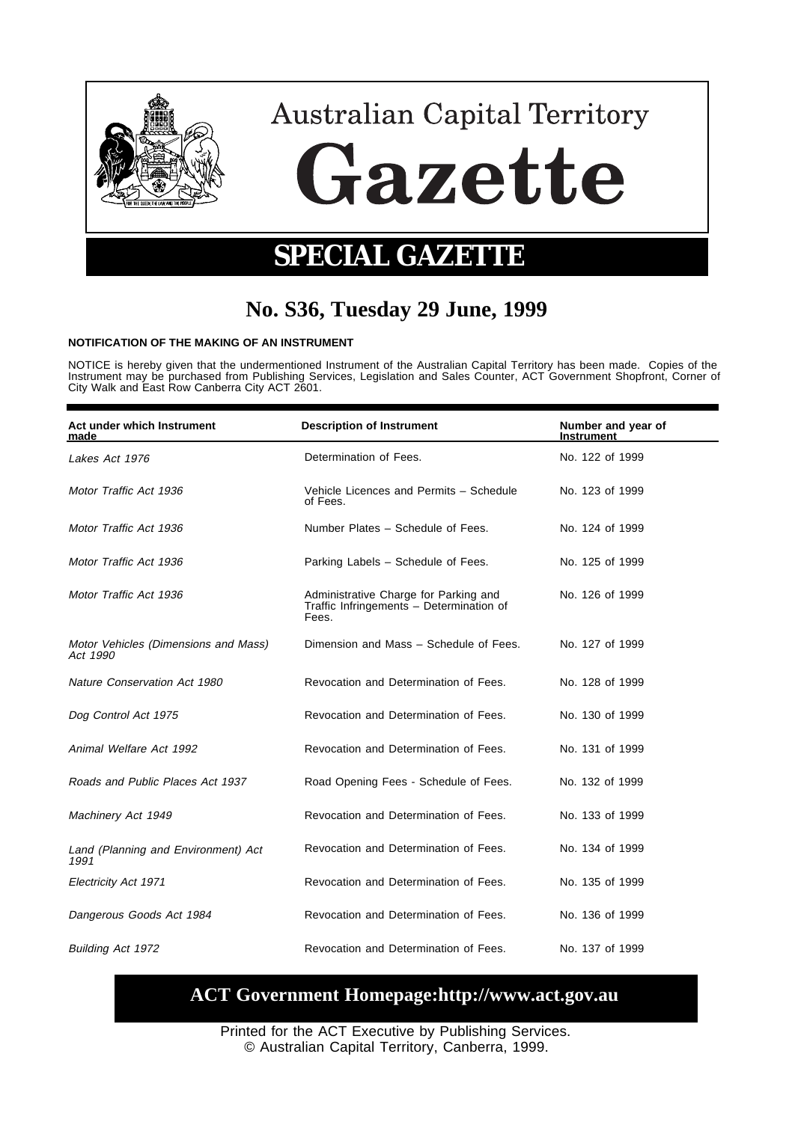

# **No. S36, Tuesday 29 June, 1999**

#### **NOTIFICATION OF THE MAKING OF AN INSTRUMENT**

NOTICE is hereby given that the undermentioned Instrument of the Australian Capital Territory has been made. Copies of the<br>Instrument may be purchased from Publishing Services, Legislation and Sales Counter, ACT Governmen

| Act under which Instrument<br>made               | <b>Description of Instrument</b>                                                           | Number and year of<br>Instrument |
|--------------------------------------------------|--------------------------------------------------------------------------------------------|----------------------------------|
| Lakes Act 1976                                   | Determination of Fees.                                                                     | No. 122 of 1999                  |
| Motor Traffic Act 1936                           | Vehicle Licences and Permits - Schedule<br>of Fees.                                        | No. 123 of 1999                  |
| Motor Traffic Act 1936                           | Number Plates - Schedule of Fees.                                                          | No. 124 of 1999                  |
| Motor Traffic Act 1936                           | Parking Labels - Schedule of Fees.                                                         | No. 125 of 1999                  |
| Motor Traffic Act 1936                           | Administrative Charge for Parking and<br>Traffic Infringements - Determination of<br>Fees. | No. 126 of 1999                  |
| Motor Vehicles (Dimensions and Mass)<br>Act 1990 | Dimension and Mass - Schedule of Fees.                                                     | No. 127 of 1999                  |
| Nature Conservation Act 1980                     | Revocation and Determination of Fees.                                                      | No. 128 of 1999                  |
| Dog Control Act 1975                             | Revocation and Determination of Fees.                                                      | No. 130 of 1999                  |
| Animal Welfare Act 1992                          | Revocation and Determination of Fees.                                                      | No. 131 of 1999                  |
| Roads and Public Places Act 1937                 | Road Opening Fees - Schedule of Fees.                                                      | No. 132 of 1999                  |
| Machinery Act 1949                               | Revocation and Determination of Fees.                                                      | No. 133 of 1999                  |
| Land (Planning and Environment) Act<br>1991      | Revocation and Determination of Fees.                                                      | No. 134 of 1999                  |
| Electricity Act 1971                             | Revocation and Determination of Fees.                                                      | No. 135 of 1999                  |
| Dangerous Goods Act 1984                         | Revocation and Determination of Fees.                                                      | No. 136 of 1999                  |
| <b>Building Act 1972</b>                         | Revocation and Determination of Fees.                                                      | No. 137 of 1999                  |

# **ACT Government Homepage:http://www.act.gov.au**

Printed for the ACT Executive by Publishing Services. © Australian Capital Territory, Canberra, 1999.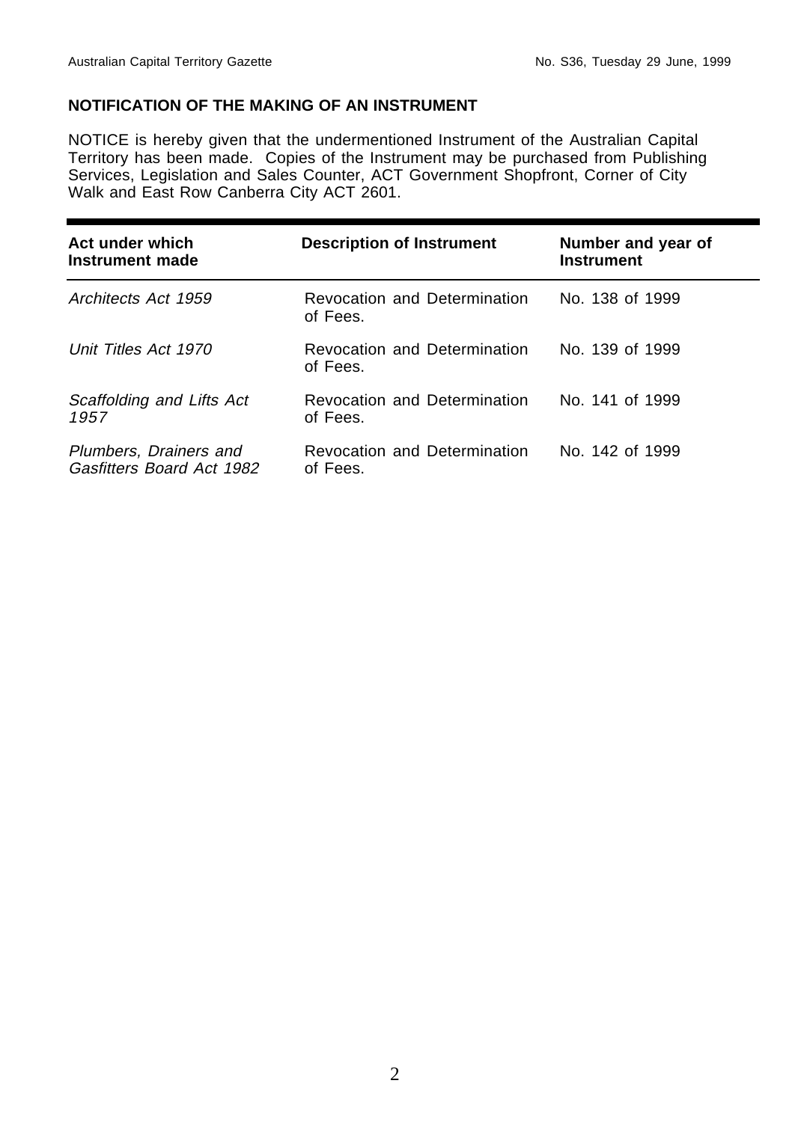# **NOTIFICATION OF THE MAKING OF AN INSTRUMENT**

NOTICE is hereby given that the undermentioned Instrument of the Australian Capital Territory has been made. Copies of the Instrument may be purchased from Publishing Services, Legislation and Sales Counter, ACT Government Shopfront, Corner of City Walk and East Row Canberra City ACT 2601.

| Act under which<br>Instrument made                  | <b>Description of Instrument</b>         | Number and year of<br><b>Instrument</b> |
|-----------------------------------------------------|------------------------------------------|-----------------------------------------|
| Architects Act 1959                                 | Revocation and Determination<br>of Fees. | No. 138 of 1999                         |
| Unit Titles Act 1970                                | Revocation and Determination<br>of Fees. | No. 139 of 1999                         |
| Scaffolding and Lifts Act<br>1957                   | Revocation and Determination<br>of Fees. | No. 141 of 1999                         |
| Plumbers, Drainers and<br>Gasfitters Board Act 1982 | Revocation and Determination<br>of Fees. | No. 142 of 1999                         |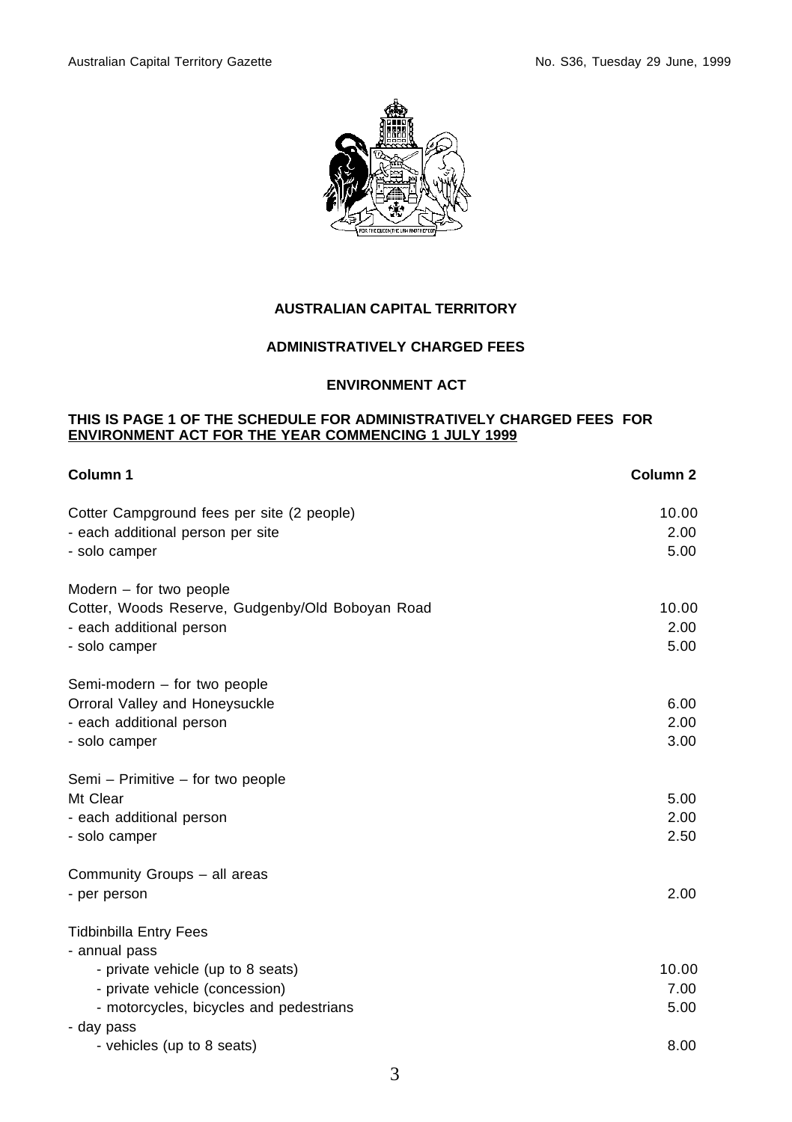

## **AUSTRALIAN CAPITAL TERRITORY**

## **ADMINISTRATIVELY CHARGED FEES**

#### **ENVIRONMENT ACT**

#### **THIS IS PAGE 1 OF THE SCHEDULE FOR ADMINISTRATIVELY CHARGED FEES FOR ENVIRONMENT ACT FOR THE YEAR COMMENCING 1 JULY 1999**

| Column 1                                         | Column <sub>2</sub> |
|--------------------------------------------------|---------------------|
| Cotter Campground fees per site (2 people)       | 10.00               |
| - each additional person per site                | 2.00                |
| - solo camper                                    | 5.00                |
| Modern – for two people                          |                     |
| Cotter, Woods Reserve, Gudgenby/Old Boboyan Road | 10.00               |
| - each additional person                         | 2.00                |
| - solo camper                                    | 5.00                |
| Semi-modern - for two people                     |                     |
| Orroral Valley and Honeysuckle                   | 6.00                |
| - each additional person                         | 2.00                |
| - solo camper                                    | 3.00                |
| Semi – Primitive – for two people                |                     |
| Mt Clear                                         | 5.00                |
| - each additional person                         | 2.00                |
| - solo camper                                    | 2.50                |
| Community Groups - all areas                     |                     |
| - per person                                     | 2.00                |
| <b>Tidbinbilla Entry Fees</b>                    |                     |
| - annual pass                                    |                     |
| - private vehicle (up to 8 seats)                | 10.00               |
| - private vehicle (concession)                   | 7.00                |
| - motorcycles, bicycles and pedestrians          | 5.00                |
| - day pass                                       |                     |
| - vehicles (up to 8 seats)                       | 8.00                |
|                                                  |                     |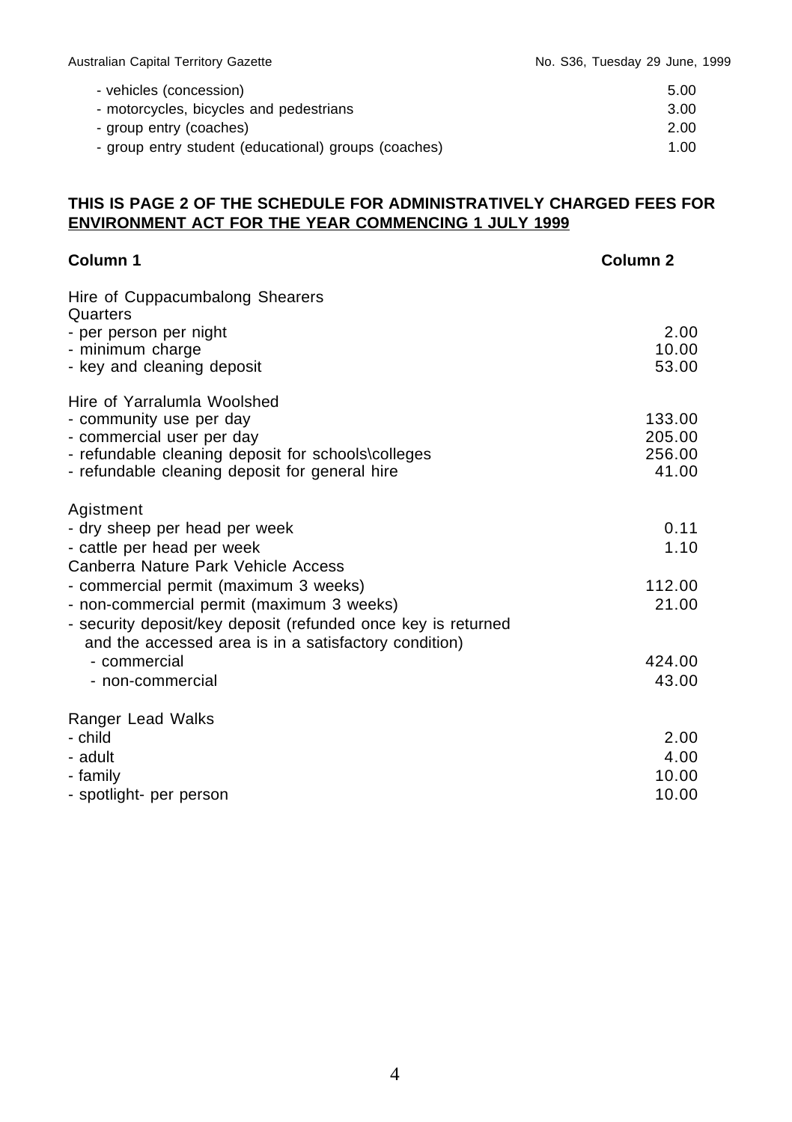| - vehicles (concession)                              | 5.00 |
|------------------------------------------------------|------|
| - motorcycles, bicycles and pedestrians              | 3.00 |
| - group entry (coaches)                              | 2.00 |
| - group entry student (educational) groups (coaches) | 1.00 |

# **THIS IS PAGE 2 OF THE SCHEDULE FOR ADMINISTRATIVELY CHARGED FEES FOR ENVIRONMENT ACT FOR THE YEAR COMMENCING 1 JULY 1999**

| Column 1                                                                                                               | Column <sub>2</sub> |
|------------------------------------------------------------------------------------------------------------------------|---------------------|
| Hire of Cuppacumbalong Shearers<br>Quarters                                                                            |                     |
| - per person per night                                                                                                 | 2.00                |
| - minimum charge                                                                                                       | 10.00               |
| - key and cleaning deposit                                                                                             | 53.00               |
| Hire of Yarralumla Woolshed                                                                                            |                     |
| - community use per day                                                                                                | 133.00              |
| - commercial user per day                                                                                              | 205.00              |
| - refundable cleaning deposit for schools\colleges                                                                     | 256.00              |
| - refundable cleaning deposit for general hire                                                                         | 41.00               |
| Agistment                                                                                                              |                     |
| - dry sheep per head per week                                                                                          | 0.11                |
| - cattle per head per week                                                                                             | 1.10                |
| Canberra Nature Park Vehicle Access                                                                                    |                     |
| - commercial permit (maximum 3 weeks)                                                                                  | 112.00              |
| - non-commercial permit (maximum 3 weeks)                                                                              | 21.00               |
| - security deposit/key deposit (refunded once key is returned<br>and the accessed area is in a satisfactory condition) |                     |
| - commercial                                                                                                           | 424.00              |
| - non-commercial                                                                                                       | 43.00               |
|                                                                                                                        |                     |
| Ranger Lead Walks                                                                                                      |                     |
| - child                                                                                                                | 2.00                |
| - adult                                                                                                                | 4.00                |
| - family                                                                                                               | 10.00               |
| - spotlight- per person                                                                                                | 10.00               |
|                                                                                                                        |                     |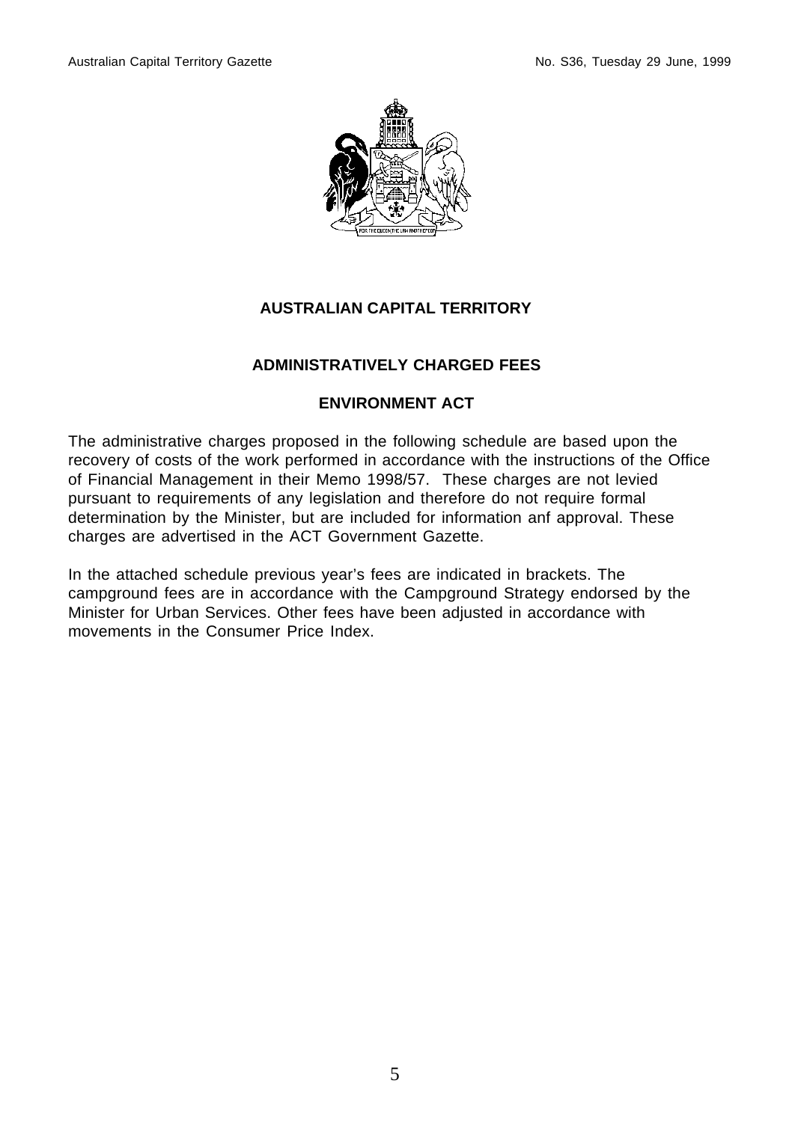

# **AUSTRALIAN CAPITAL TERRITORY**

# **ADMINISTRATIVELY CHARGED FEES**

# **ENVIRONMENT ACT**

The administrative charges proposed in the following schedule are based upon the recovery of costs of the work performed in accordance with the instructions of the Office of Financial Management in their Memo 1998/57. These charges are not levied pursuant to requirements of any legislation and therefore do not require formal determination by the Minister, but are included for information anf approval. These charges are advertised in the ACT Government Gazette.

In the attached schedule previous year's fees are indicated in brackets. The campground fees are in accordance with the Campground Strategy endorsed by the Minister for Urban Services. Other fees have been adjusted in accordance with movements in the Consumer Price Index.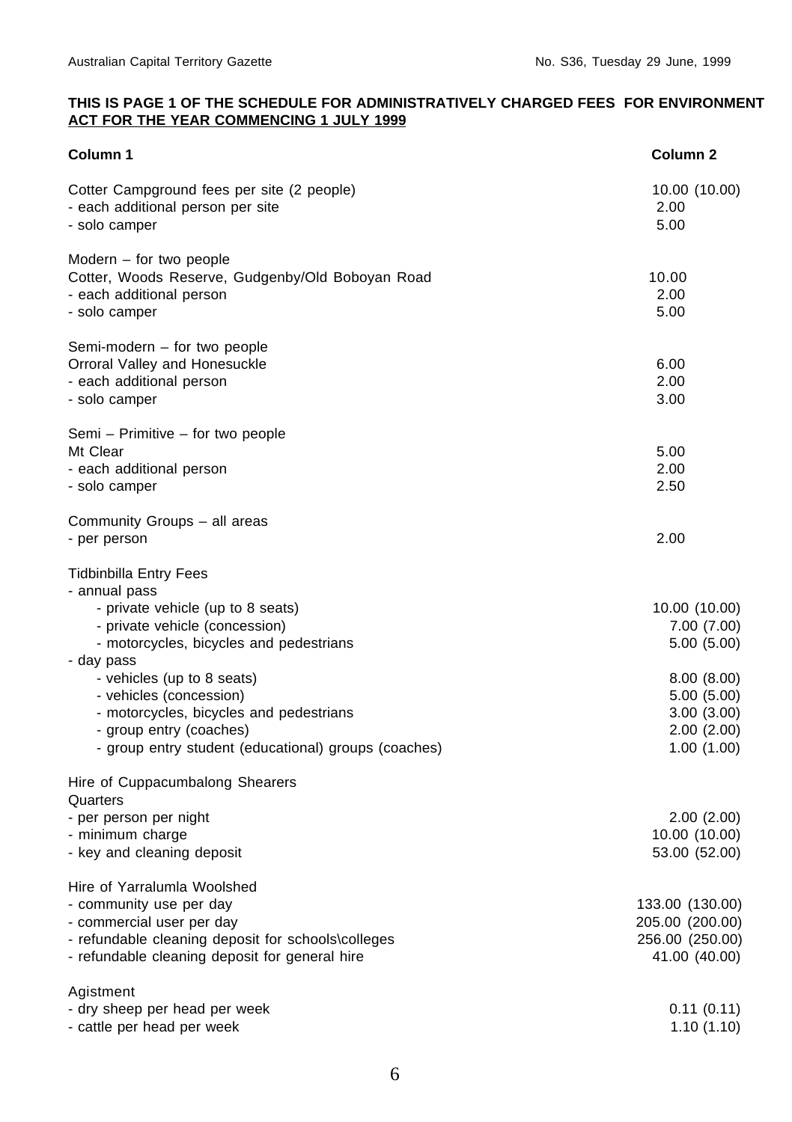## **THIS IS PAGE 1 OF THE SCHEDULE FOR ADMINISTRATIVELY CHARGED FEES FOR ENVIRONMENT ACT FOR THE YEAR COMMENCING 1 JULY 1999**

| <b>Column 1</b>                                                                                                                                                                                                                                                                                                                                                       | Column <sub>2</sub>                                                                                              |
|-----------------------------------------------------------------------------------------------------------------------------------------------------------------------------------------------------------------------------------------------------------------------------------------------------------------------------------------------------------------------|------------------------------------------------------------------------------------------------------------------|
| Cotter Campground fees per site (2 people)<br>- each additional person per site<br>- solo camper                                                                                                                                                                                                                                                                      | 10.00 (10.00)<br>2.00<br>5.00                                                                                    |
| Modern $-$ for two people<br>Cotter, Woods Reserve, Gudgenby/Old Boboyan Road<br>- each additional person<br>- solo camper                                                                                                                                                                                                                                            | 10.00<br>2.00<br>5.00                                                                                            |
| Semi-modern - for two people<br>Orroral Valley and Honesuckle<br>- each additional person<br>- solo camper                                                                                                                                                                                                                                                            | 6.00<br>2.00<br>3.00                                                                                             |
| Semi – Primitive – for two people<br>Mt Clear<br>- each additional person<br>- solo camper                                                                                                                                                                                                                                                                            | 5.00<br>2.00<br>2.50                                                                                             |
| Community Groups - all areas<br>- per person                                                                                                                                                                                                                                                                                                                          | 2.00                                                                                                             |
| <b>Tidbinbilla Entry Fees</b><br>- annual pass<br>- private vehicle (up to 8 seats)<br>- private vehicle (concession)<br>- motorcycles, bicycles and pedestrians<br>- day pass<br>- vehicles (up to 8 seats)<br>- vehicles (concession)<br>- motorcycles, bicycles and pedestrians<br>- group entry (coaches)<br>- group entry student (educational) groups (coaches) | 10.00 (10.00)<br>7.00 (7.00)<br>5.00(5.00)<br>8.00(8.00)<br>5.00(5.00)<br>3.00(3.00)<br>2.00(2.00)<br>1.00(1.00) |
| Hire of Cuppacumbalong Shearers<br>Quarters<br>- per person per night<br>- minimum charge<br>- key and cleaning deposit                                                                                                                                                                                                                                               | 2.00(2.00)<br>10.00 (10.00)<br>53.00 (52.00)                                                                     |
| Hire of Yarralumla Woolshed<br>- community use per day<br>- commercial user per day<br>- refundable cleaning deposit for schools\colleges<br>- refundable cleaning deposit for general hire                                                                                                                                                                           | 133.00 (130.00)<br>205.00 (200.00)<br>256.00 (250.00)<br>41.00 (40.00)                                           |
| Agistment<br>- dry sheep per head per week<br>- cattle per head per week                                                                                                                                                                                                                                                                                              | 0.11(0.11)<br>1.10(1.10)                                                                                         |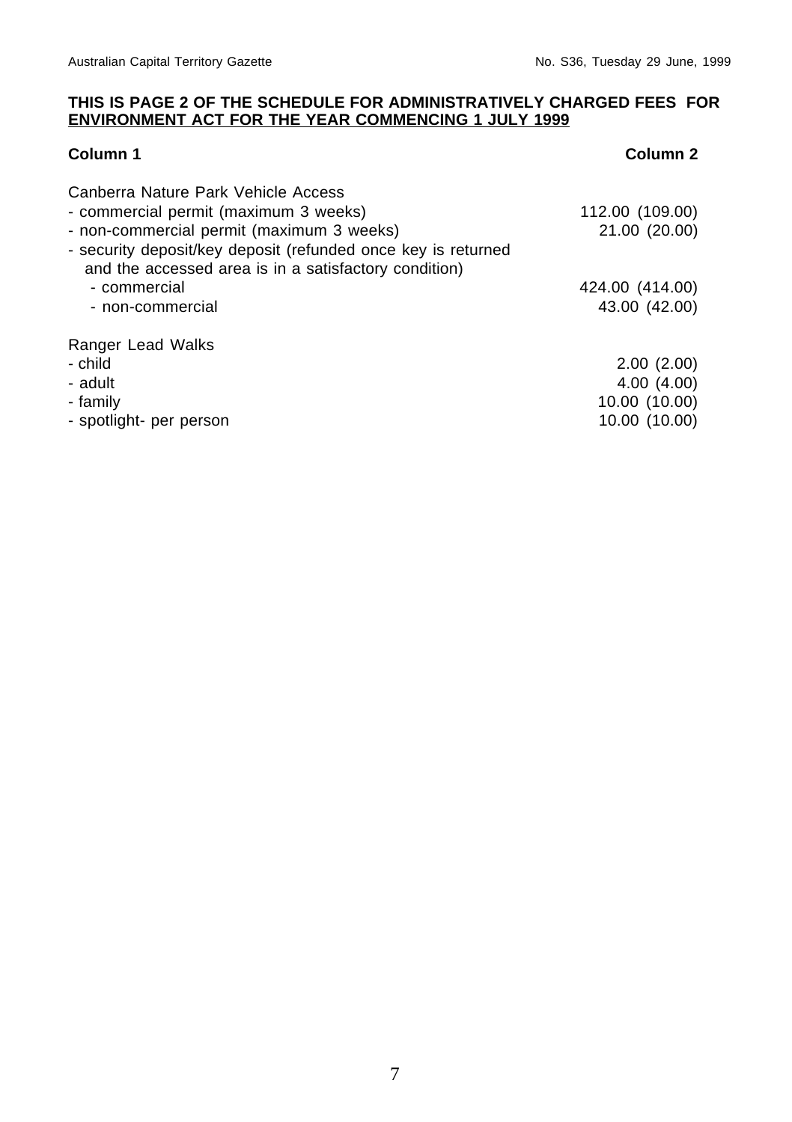## **THIS IS PAGE 2 OF THE SCHEDULE FOR ADMINISTRATIVELY CHARGED FEES FOR ENVIRONMENT ACT FOR THE YEAR COMMENCING 1 JULY 1999**

# **Column 1** Column 2

| Canberra Nature Park Vehicle Access<br>- commercial permit (maximum 3 weeks)<br>- non-commercial permit (maximum 3 weeks)<br>- security deposit/key deposit (refunded once key is returned<br>and the accessed area is in a satisfactory condition) | 112.00 (109.00)<br>21.00 (20.00) |
|-----------------------------------------------------------------------------------------------------------------------------------------------------------------------------------------------------------------------------------------------------|----------------------------------|
| - commercial                                                                                                                                                                                                                                        | 424.00 (414.00)                  |
| - non-commercial                                                                                                                                                                                                                                    | 43.00 (42.00)                    |
| Ranger Lead Walks                                                                                                                                                                                                                                   |                                  |
| - child                                                                                                                                                                                                                                             | 2.00(2.00)                       |
| - adult                                                                                                                                                                                                                                             | 4.00(4.00)                       |
| - family                                                                                                                                                                                                                                            | 10.00 (10.00)                    |
| - spotlight- per person                                                                                                                                                                                                                             | 10.00 (10.00)                    |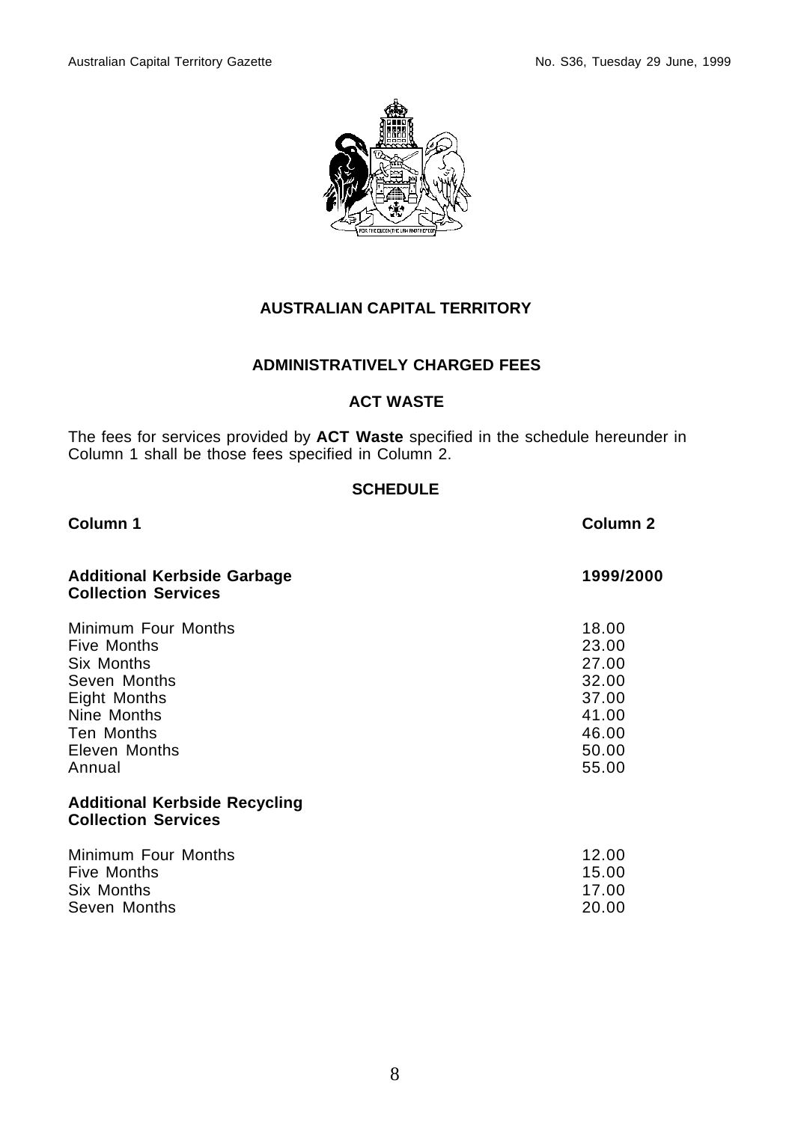

# **AUSTRALIAN CAPITAL TERRITORY**

# **ADMINISTRATIVELY CHARGED FEES**

# **ACT WASTE**

The fees for services provided by **ACT Waste** specified in the schedule hereunder in Column 1 shall be those fees specified in Column 2.

# **SCHEDULE**

| Column 1                                                                                                                                        | Column <sub>2</sub>                                                           |
|-------------------------------------------------------------------------------------------------------------------------------------------------|-------------------------------------------------------------------------------|
| <b>Additional Kerbside Garbage</b><br><b>Collection Services</b>                                                                                | 1999/2000                                                                     |
| Minimum Four Months<br><b>Five Months</b><br>Six Months<br>Seven Months<br>Eight Months<br>Nine Months<br>Ten Months<br>Eleven Months<br>Annual | 18.00<br>23.00<br>27.00<br>32.00<br>37.00<br>41.00<br>46.00<br>50.00<br>55.00 |
| <b>Additional Kerbside Recycling</b><br><b>Collection Services</b>                                                                              |                                                                               |
| Minimum Four Months<br>Five Months<br>Six Months<br>Seven Months                                                                                | 12.00<br>15.00<br>17.00<br>20.00                                              |

# 8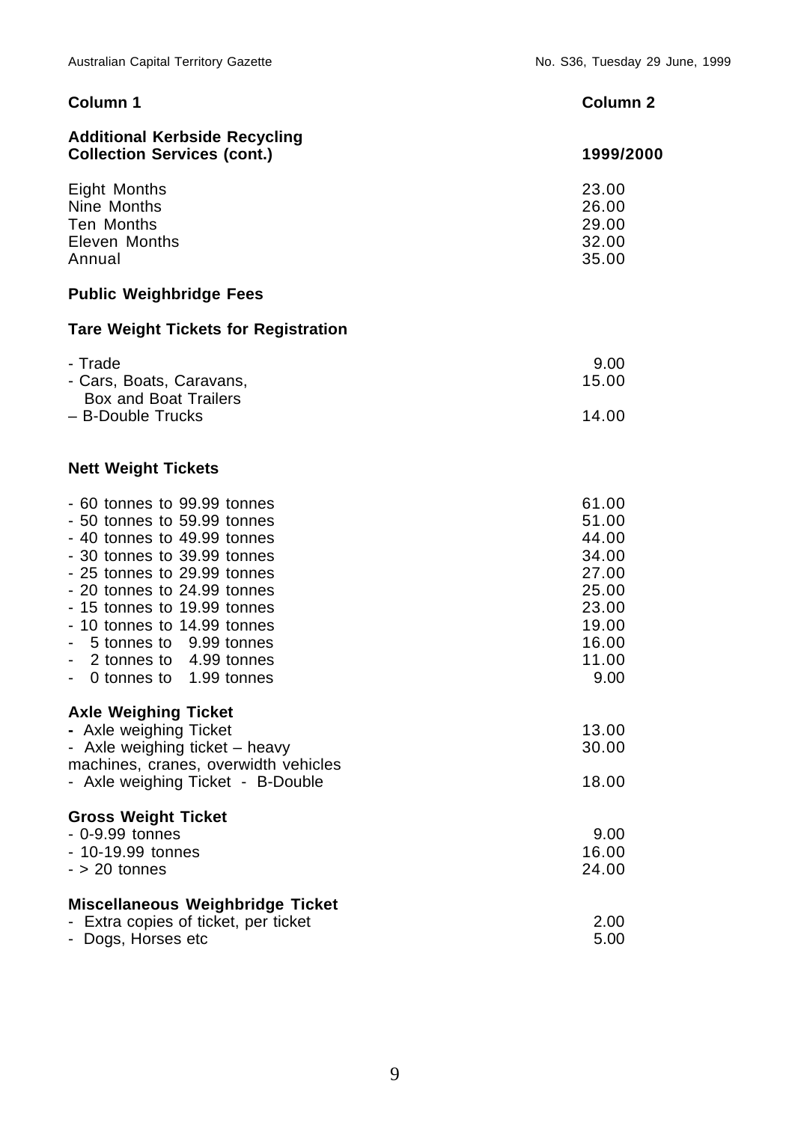| Column 1                                                                                                                                                                                                                                                                                                                              | Column <sub>2</sub>                                                                            |
|---------------------------------------------------------------------------------------------------------------------------------------------------------------------------------------------------------------------------------------------------------------------------------------------------------------------------------------|------------------------------------------------------------------------------------------------|
| <b>Additional Kerbside Recycling</b><br><b>Collection Services (cont.)</b>                                                                                                                                                                                                                                                            | 1999/2000                                                                                      |
| <b>Eight Months</b><br>Nine Months<br>Ten Months<br>Eleven Months<br>Annual                                                                                                                                                                                                                                                           | 23.00<br>26.00<br>29.00<br>32.00<br>35.00                                                      |
| <b>Public Weighbridge Fees</b>                                                                                                                                                                                                                                                                                                        |                                                                                                |
| <b>Tare Weight Tickets for Registration</b>                                                                                                                                                                                                                                                                                           |                                                                                                |
| - Trade<br>- Cars, Boats, Caravans,<br><b>Box and Boat Trailers</b><br>- B-Double Trucks                                                                                                                                                                                                                                              | 9.00<br>15.00<br>14.00                                                                         |
| <b>Nett Weight Tickets</b>                                                                                                                                                                                                                                                                                                            |                                                                                                |
| - 60 tonnes to 99.99 tonnes<br>- 50 tonnes to 59.99 tonnes<br>- 40 tonnes to 49.99 tonnes<br>- 30 tonnes to 39.99 tonnes<br>- 25 tonnes to 29.99 tonnes<br>- 20 tonnes to 24.99 tonnes<br>- 15 tonnes to 19.99 tonnes<br>- 10 tonnes to 14.99 tonnes<br>5 tonnes to 9.99 tonnes<br>2 tonnes to 4.99 tonnes<br>0 tonnes to 1.99 tonnes | 61.00<br>51.00<br>44.00<br>34.00<br>27.00<br>25.00<br>23.00<br>19.00<br>16.00<br>11.00<br>9.00 |
| <b>Axle Weighing Ticket</b><br>- Axle weighing Ticket<br>- Axle weighing ticket - heavy<br>machines, cranes, overwidth vehicles<br>- Axle weighing Ticket - B-Double                                                                                                                                                                  | 13.00<br>30.00<br>18.00                                                                        |
| <b>Gross Weight Ticket</b><br>- 0-9.99 tonnes<br>- 10-19.99 tonnes<br>$-$ > 20 tonnes                                                                                                                                                                                                                                                 | 9.00<br>16.00<br>24.00                                                                         |
| <b>Miscellaneous Weighbridge Ticket</b><br>- Extra copies of ticket, per ticket<br>- Dogs, Horses etc                                                                                                                                                                                                                                 | 2.00<br>5.00                                                                                   |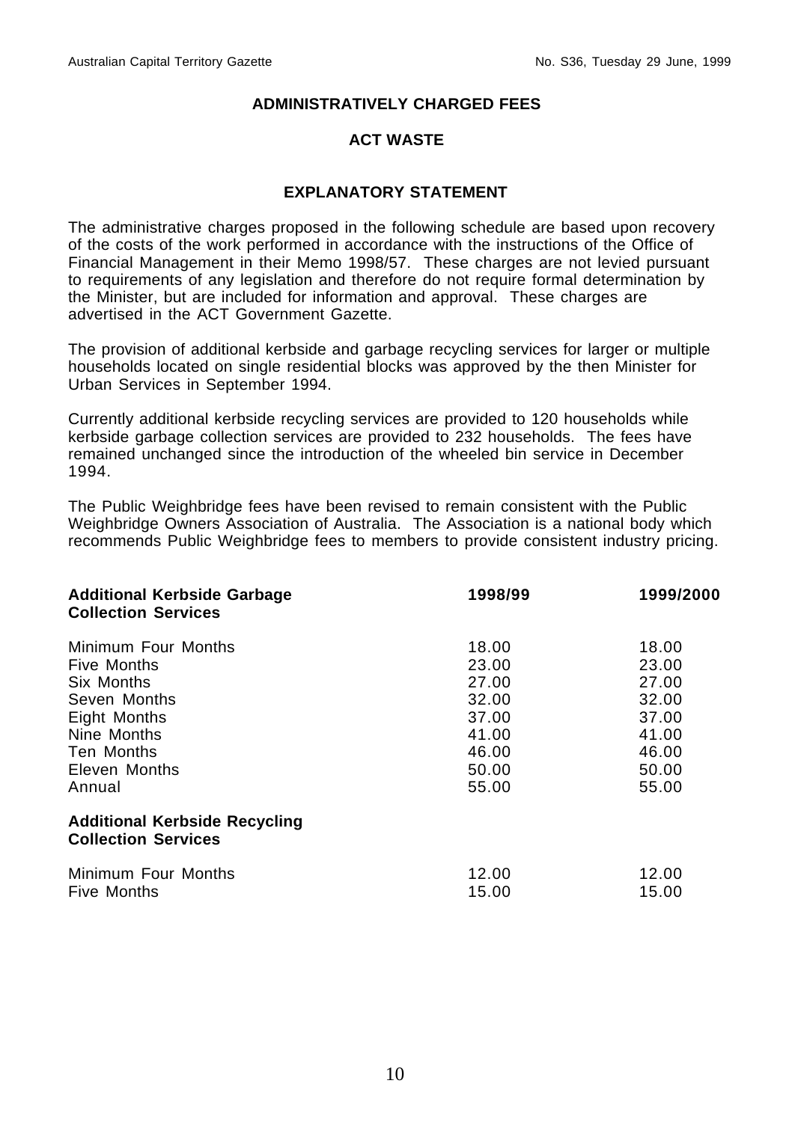## **ACT WASTE**

## **EXPLANATORY STATEMENT**

The administrative charges proposed in the following schedule are based upon recovery of the costs of the work performed in accordance with the instructions of the Office of Financial Management in their Memo 1998/57. These charges are not levied pursuant to requirements of any legislation and therefore do not require formal determination by the Minister, but are included for information and approval. These charges are advertised in the ACT Government Gazette.

The provision of additional kerbside and garbage recycling services for larger or multiple households located on single residential blocks was approved by the then Minister for Urban Services in September 1994.

Currently additional kerbside recycling services are provided to 120 households while kerbside garbage collection services are provided to 232 households. The fees have remained unchanged since the introduction of the wheeled bin service in December 1994.

The Public Weighbridge fees have been revised to remain consistent with the Public Weighbridge Owners Association of Australia. The Association is a national body which recommends Public Weighbridge fees to members to provide consistent industry pricing.

| <b>Additional Kerbside Garbage</b><br><b>Collection Services</b>   | 1998/99 | 1999/2000 |
|--------------------------------------------------------------------|---------|-----------|
| Minimum Four Months                                                | 18.00   | 18.00     |
| Five Months                                                        | 23.00   | 23.00     |
| Six Months                                                         | 27.00   | 27.00     |
| Seven Months                                                       | 32.00   | 32.00     |
| Eight Months                                                       | 37.00   | 37.00     |
| Nine Months                                                        | 41.00   | 41.00     |
| Ten Months                                                         | 46.00   | 46.00     |
| Eleven Months                                                      | 50.00   | 50.00     |
| Annual                                                             | 55.00   | 55.00     |
| <b>Additional Kerbside Recycling</b><br><b>Collection Services</b> |         |           |
| Minimum Four Months                                                | 12.00   | 12.00     |
| <b>Five Months</b>                                                 | 15.00   | 15.00     |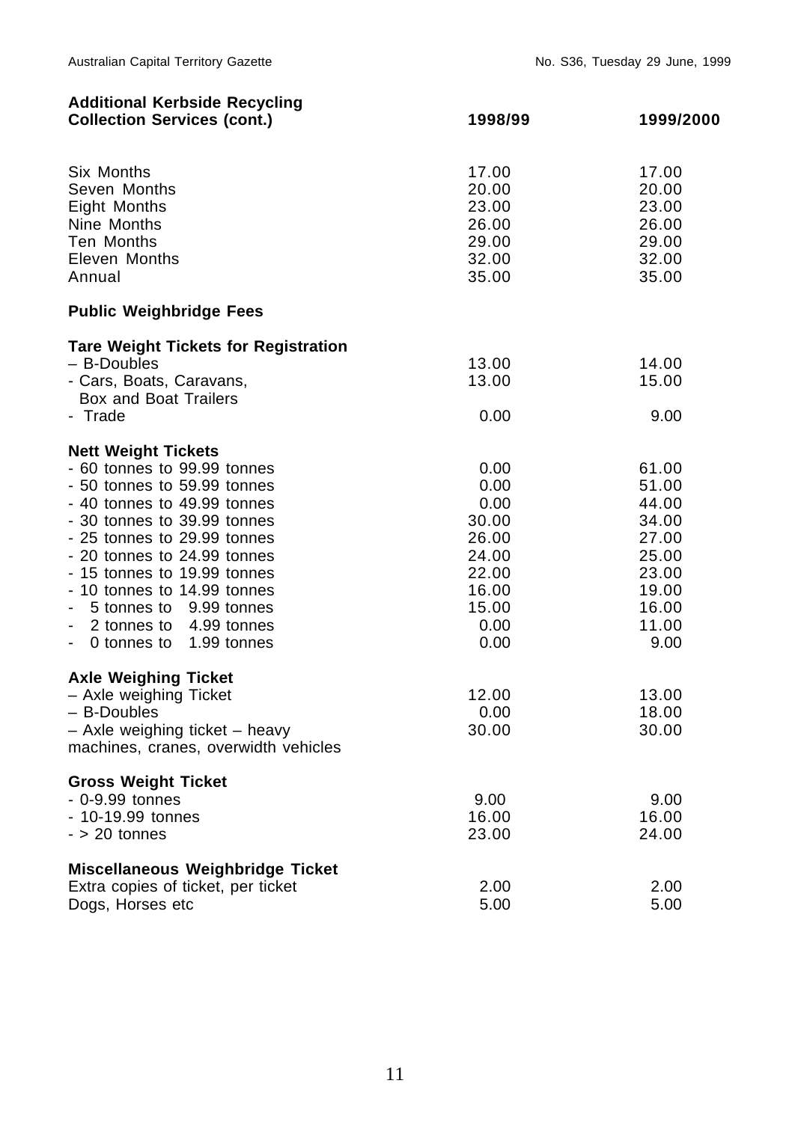| <b>Additional Kerbside Recycling</b><br><b>Collection Services (cont.)</b>                                                                                                                                                                                                                                                                                          | 1998/99                                                                                    | 1999/2000                                                                                      |
|---------------------------------------------------------------------------------------------------------------------------------------------------------------------------------------------------------------------------------------------------------------------------------------------------------------------------------------------------------------------|--------------------------------------------------------------------------------------------|------------------------------------------------------------------------------------------------|
| Six Months<br>Seven Months<br>Eight Months<br>Nine Months<br>Ten Months<br>Eleven Months<br>Annual                                                                                                                                                                                                                                                                  | 17.00<br>20.00<br>23.00<br>26.00<br>29.00<br>32.00<br>35.00                                | 17.00<br>20.00<br>23.00<br>26.00<br>29.00<br>32.00<br>35.00                                    |
| <b>Public Weighbridge Fees</b>                                                                                                                                                                                                                                                                                                                                      |                                                                                            |                                                                                                |
| <b>Tare Weight Tickets for Registration</b><br>- B-Doubles<br>- Cars, Boats, Caravans,<br><b>Box and Boat Trailers</b><br>- Trade                                                                                                                                                                                                                                   | 13.00<br>13.00<br>0.00                                                                     | 14.00<br>15.00<br>9.00                                                                         |
| <b>Nett Weight Tickets</b><br>- 60 tonnes to 99.99 tonnes<br>- 50 tonnes to 59.99 tonnes<br>- 40 tonnes to 49.99 tonnes<br>- 30 tonnes to 39.99 tonnes<br>- 25 tonnes to 29.99 tonnes<br>- 20 tonnes to 24.99 tonnes<br>- 15 tonnes to 19.99 tonnes<br>- 10 tonnes to 14.99 tonnes<br>5 tonnes to 9.99 tonnes<br>2 tonnes to 4.99 tonnes<br>0 tonnes to 1.99 tonnes | 0.00<br>0.00<br>0.00<br>30.00<br>26.00<br>24.00<br>22.00<br>16.00<br>15.00<br>0.00<br>0.00 | 61.00<br>51.00<br>44.00<br>34.00<br>27.00<br>25.00<br>23.00<br>19.00<br>16.00<br>11.00<br>9.00 |
| <b>Axle Weighing Ticket</b><br>- Axle weighing Ticket<br>- B-Doubles<br>- Axle weighing ticket - heavy<br>machines, cranes, overwidth vehicles                                                                                                                                                                                                                      | 12.00<br>0.00<br>30.00                                                                     | 13.00<br>18.00<br>30.00                                                                        |
| <b>Gross Weight Ticket</b><br>$-0-9.99$ tonnes<br>- 10-19.99 tonnes<br>$-$ > 20 tonnes                                                                                                                                                                                                                                                                              | 9.00<br>16.00<br>23.00                                                                     | 9.00<br>16.00<br>24.00                                                                         |
| <b>Miscellaneous Weighbridge Ticket</b><br>Extra copies of ticket, per ticket<br>Dogs, Horses etc                                                                                                                                                                                                                                                                   | 2.00<br>5.00                                                                               | 2.00<br>5.00                                                                                   |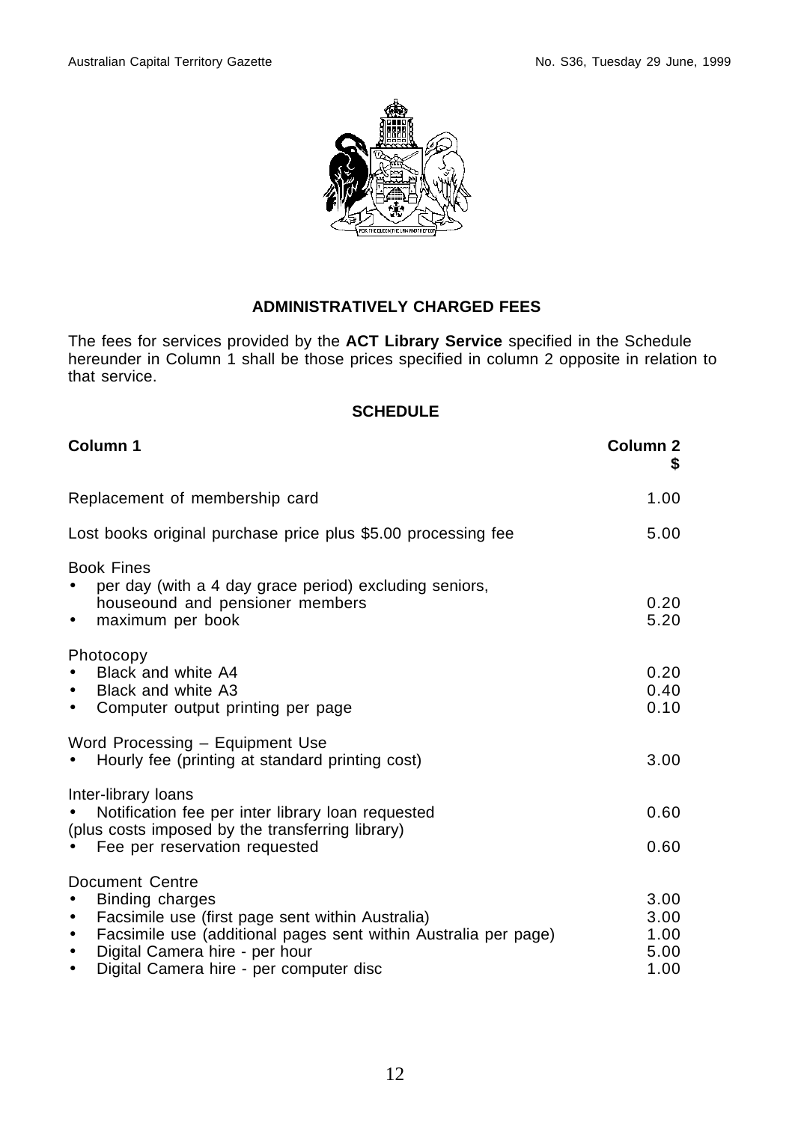

The fees for services provided by the **ACT Library Service** specified in the Schedule hereunder in Column 1 shall be those prices specified in column 2 opposite in relation to that service.

| Column 1                                                                                                                                                                                                                                                                                  | Column 2<br>S                        |
|-------------------------------------------------------------------------------------------------------------------------------------------------------------------------------------------------------------------------------------------------------------------------------------------|--------------------------------------|
| Replacement of membership card                                                                                                                                                                                                                                                            | 1.00                                 |
| Lost books original purchase price plus \$5.00 processing fee                                                                                                                                                                                                                             | 5.00                                 |
| <b>Book Fines</b><br>per day (with a 4 day grace period) excluding seniors,<br>houseound and pensioner members<br>maximum per book<br>$\bullet$                                                                                                                                           | 0.20<br>5.20                         |
| Photocopy<br>Black and white A4<br>Black and white A3<br>$\bullet$<br>Computer output printing per page<br>$\bullet$                                                                                                                                                                      | 0.20<br>0.40<br>0.10                 |
| Word Processing - Equipment Use<br>Hourly fee (printing at standard printing cost)                                                                                                                                                                                                        | 3.00                                 |
| Inter-library loans<br>Notification fee per inter library loan requested<br>(plus costs imposed by the transferring library)<br>Fee per reservation requested<br>$\bullet$                                                                                                                | 0.60<br>0.60                         |
| Document Centre<br><b>Binding charges</b><br>Facsimile use (first page sent within Australia)<br>$\bullet$<br>Facsimile use (additional pages sent within Australia per page)<br>$\bullet$<br>Digital Camera hire - per hour<br>$\bullet$<br>Digital Camera hire - per computer disc<br>٠ | 3.00<br>3.00<br>1.00<br>5.00<br>1.00 |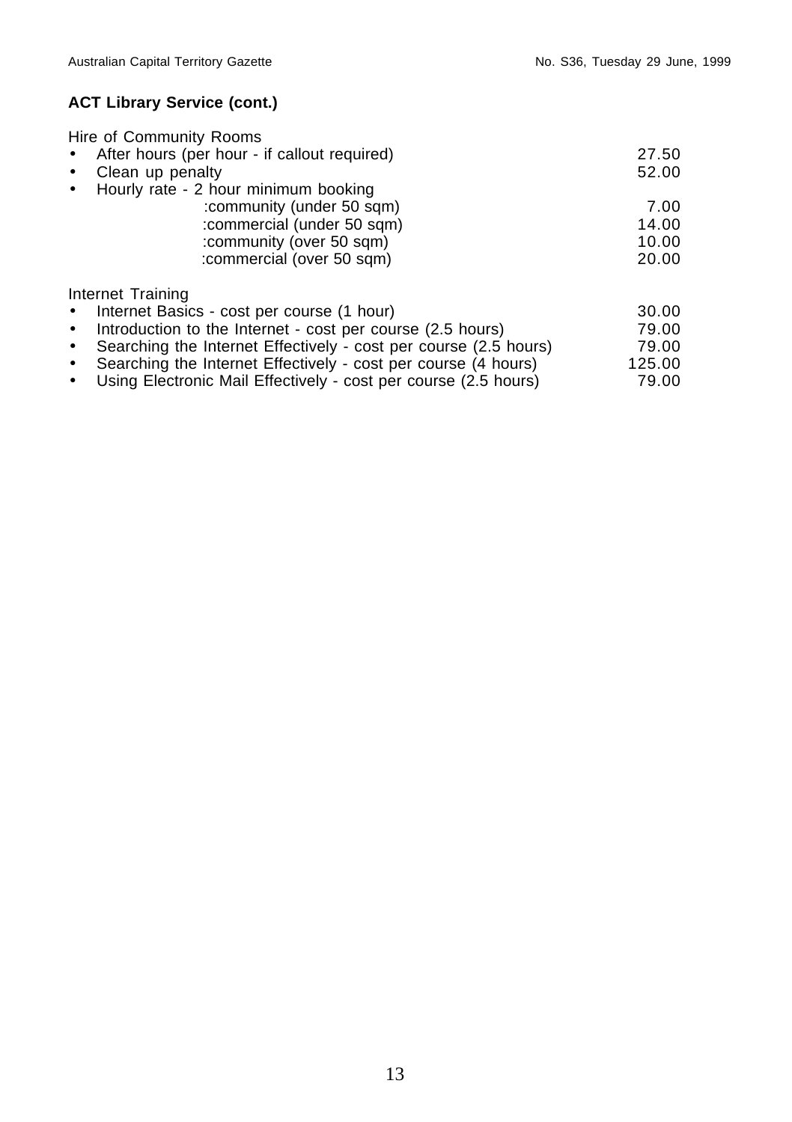# **ACT Library Service (cont.)**

| Hire of Community Rooms                                                       |        |
|-------------------------------------------------------------------------------|--------|
| After hours (per hour - if callout required)<br>$\bullet$                     | 27.50  |
| Clean up penalty<br>$\bullet$                                                 | 52.00  |
| Hourly rate - 2 hour minimum booking<br>$\bullet$                             |        |
| :community (under 50 sqm)                                                     | 7.00   |
| :commercial (under 50 sqm)                                                    | 14.00  |
| :community (over 50 sqm)                                                      | 10.00  |
| :commercial (over 50 sqm)                                                     | 20.00  |
| Internet Training                                                             |        |
| Internet Basics - cost per course (1 hour)<br>$\bullet$                       | 30.00  |
| Introduction to the Internet - cost per course (2.5 hours)<br>$\bullet$       | 79.00  |
| Searching the Internet Effectively - cost per course (2.5 hours)<br>$\bullet$ | 79.00  |
| Searching the Internet Effectively - cost per course (4 hours)<br>$\bullet$   | 125.00 |
| Using Electronic Mail Effectively - cost per course (2.5 hours)<br>$\bullet$  | 79.00  |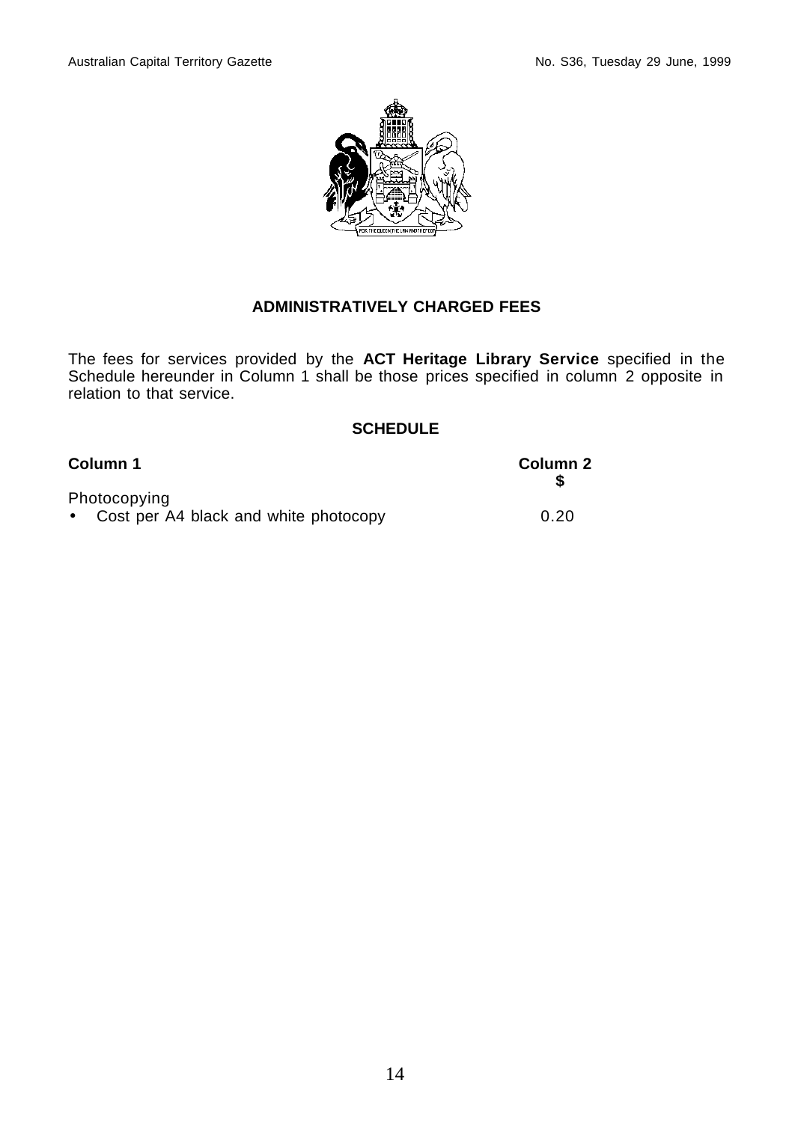

The fees for services provided by the **ACT Heritage Library Service** specified in the Schedule hereunder in Column 1 shall be those prices specified in column 2 opposite in relation to that service.

| Column 1                                                | Column 2 |
|---------------------------------------------------------|----------|
| Photocopying<br>• Cost per A4 black and white photocopy | 0.20     |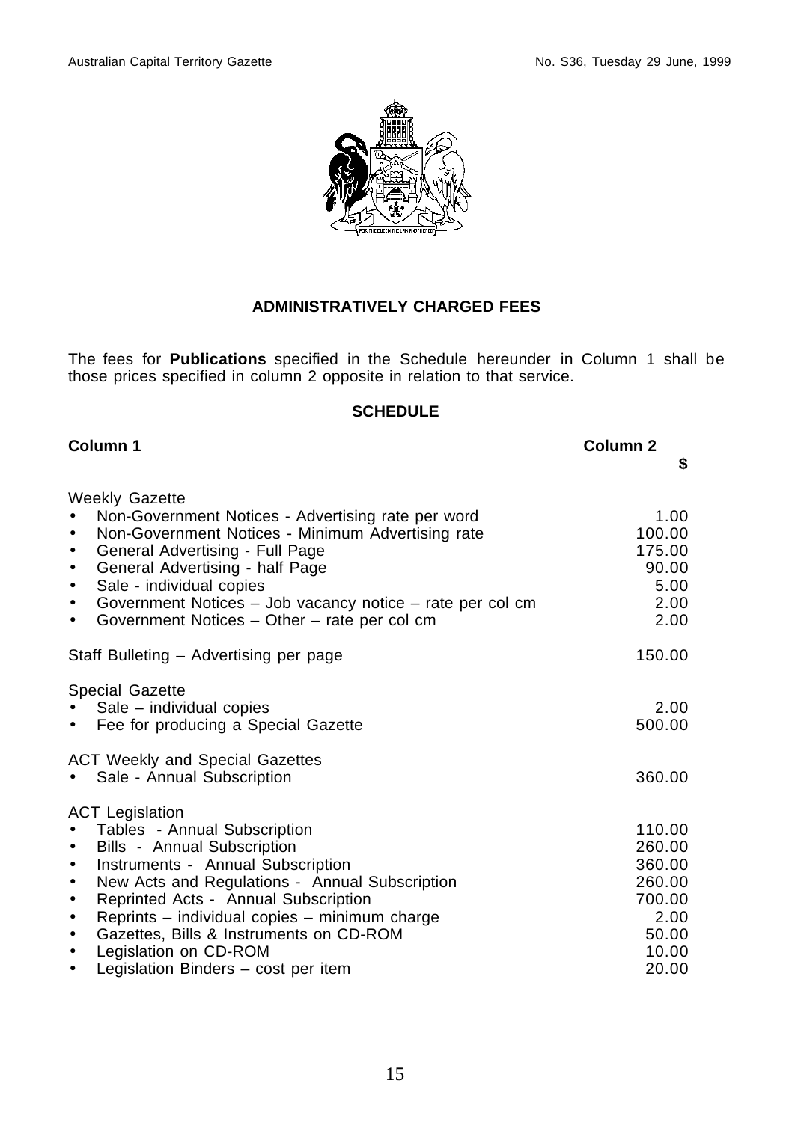

The fees for **Publications** specified in the Schedule hereunder in Column 1 shall be those prices specified in column 2 opposite in relation to that service.

| Column 1                                                                                                                                                                                                                                                                                                                                                                                       | Column <sub>2</sub><br>\$                                                |
|------------------------------------------------------------------------------------------------------------------------------------------------------------------------------------------------------------------------------------------------------------------------------------------------------------------------------------------------------------------------------------------------|--------------------------------------------------------------------------|
| <b>Weekly Gazette</b><br>Non-Government Notices - Advertising rate per word                                                                                                                                                                                                                                                                                                                    | 1.00                                                                     |
| Non-Government Notices - Minimum Advertising rate<br>$\bullet$<br>General Advertising - Full Page<br>$\bullet$<br>General Advertising - half Page<br>$\bullet$                                                                                                                                                                                                                                 | 100.00<br>175.00<br>90.00                                                |
| Sale - individual copies<br>$\bullet$<br>Government Notices - Job vacancy notice - rate per col cm<br>$\bullet$<br>Government Notices - Other - rate per col cm<br>$\bullet$                                                                                                                                                                                                                   | 5.00<br>2.00<br>2.00                                                     |
| Staff Bulleting – Advertising per page                                                                                                                                                                                                                                                                                                                                                         | 150.00                                                                   |
| <b>Special Gazette</b><br>Sale – individual copies<br>Fee for producing a Special Gazette<br>$\bullet$                                                                                                                                                                                                                                                                                         | 2.00<br>500.00                                                           |
| <b>ACT Weekly and Special Gazettes</b><br>Sale - Annual Subscription                                                                                                                                                                                                                                                                                                                           | 360.00                                                                   |
| <b>ACT Legislation</b><br>Tables - Annual Subscription<br>Bills - Annual Subscription<br>$\bullet$<br>Instruments - Annual Subscription<br>$\bullet$<br>New Acts and Regulations - Annual Subscription<br>$\bullet$<br>Reprinted Acts - Annual Subscription<br>$\bullet$<br>Reprints - individual copies - minimum charge<br>$\bullet$<br>Gazettes, Bills & Instruments on CD-ROM<br>$\bullet$ | 110.00<br>260.00<br>360.00<br>260.00<br>700.00<br>2.00<br>50.00<br>10.00 |
| Legislation on CD-ROM<br>$\bullet$<br>Legislation Binders - cost per item<br>$\bullet$                                                                                                                                                                                                                                                                                                         | 20.00                                                                    |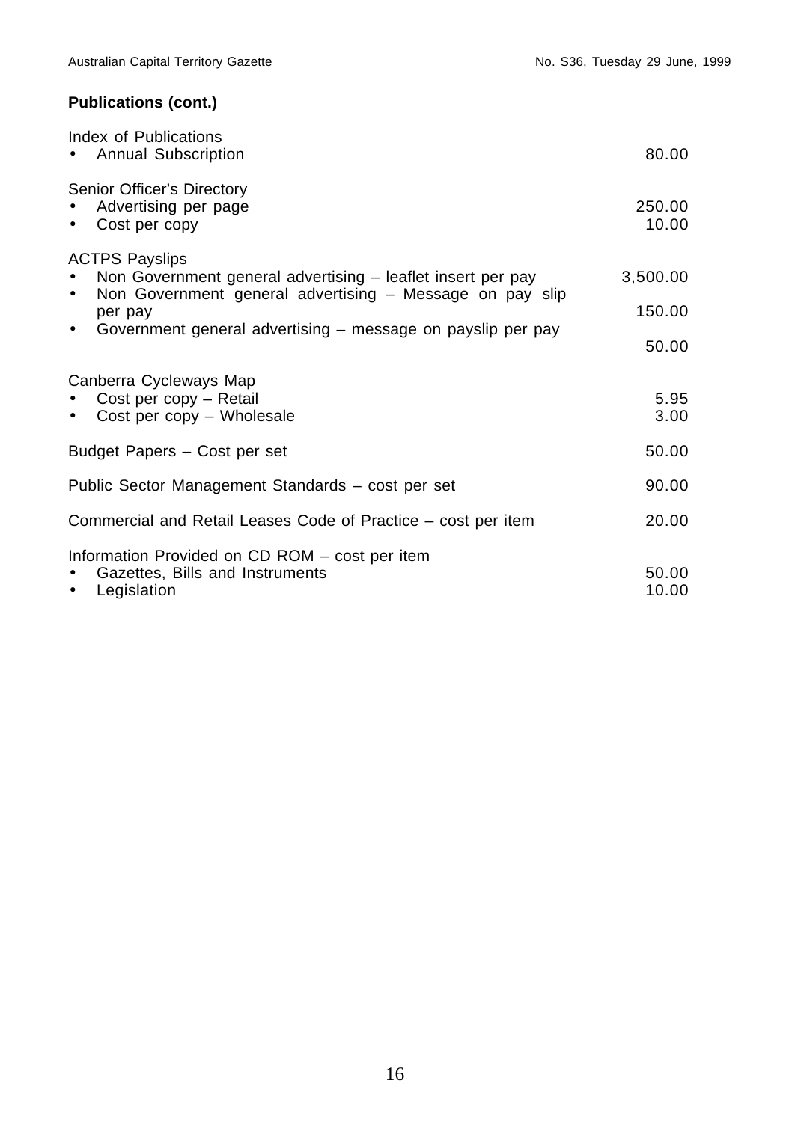# **Publications (cont.)**

| Index of Publications<br>• Annual Subscription                                                                                                                                                                                                                    | 80.00                       |
|-------------------------------------------------------------------------------------------------------------------------------------------------------------------------------------------------------------------------------------------------------------------|-----------------------------|
| Senior Officer's Directory<br>Advertising per page<br>$\bullet$<br>Cost per copy<br>$\bullet$                                                                                                                                                                     | 250.00<br>10.00             |
| <b>ACTPS Payslips</b><br>Non Government general advertising - leaflet insert per pay<br>$\bullet$<br>Non Government general advertising - Message on pay slip<br>$\bullet$<br>per pay<br>Government general advertising – message on payslip per pay<br>$\bullet$ | 3,500.00<br>150.00<br>50.00 |
| Canberra Cycleways Map<br>Cost per copy - Retail<br>$\bullet$<br>• Cost per copy - Wholesale                                                                                                                                                                      | 5.95<br>3.00                |
| Budget Papers - Cost per set                                                                                                                                                                                                                                      | 50.00                       |
| Public Sector Management Standards - cost per set                                                                                                                                                                                                                 | 90.00                       |
| Commercial and Retail Leases Code of Practice – cost per item                                                                                                                                                                                                     | 20.00                       |
| Information Provided on CD ROM - cost per item<br>Gazettes, Bills and Instruments<br>$\bullet$<br>Legislation<br>$\bullet$                                                                                                                                        | 50.00<br>10.00              |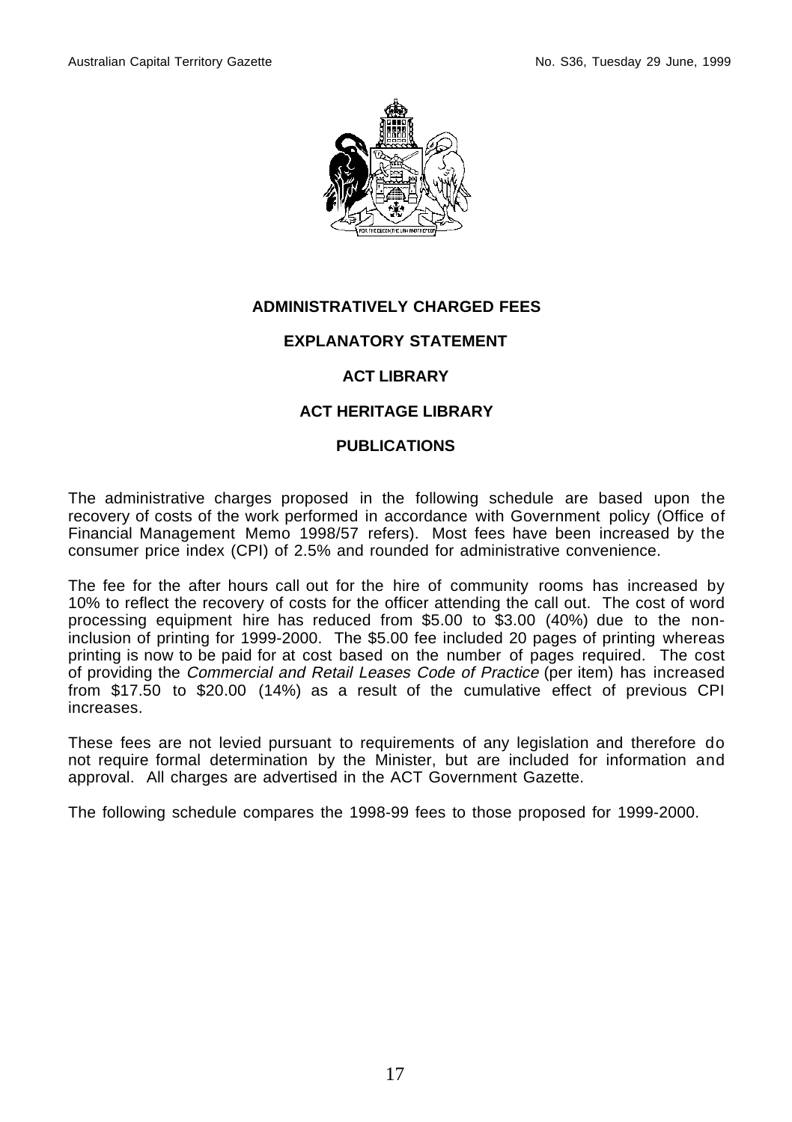

## **EXPLANATORY STATEMENT**

# **ACT LIBRARY**

## **ACT HERITAGE LIBRARY**

## **PUBLICATIONS**

The administrative charges proposed in the following schedule are based upon the recovery of costs of the work performed in accordance with Government policy (Office of Financial Management Memo 1998/57 refers). Most fees have been increased by the consumer price index (CPI) of 2.5% and rounded for administrative convenience.

The fee for the after hours call out for the hire of community rooms has increased by 10% to reflect the recovery of costs for the officer attending the call out. The cost of word processing equipment hire has reduced from \$5.00 to \$3.00 (40%) due to the noninclusion of printing for 1999-2000. The \$5.00 fee included 20 pages of printing whereas printing is now to be paid for at cost based on the number of pages required. The cost of providing the Commercial and Retail Leases Code of Practice (per item) has increased from \$17.50 to \$20.00 (14%) as a result of the cumulative effect of previous CPI increases.

These fees are not levied pursuant to requirements of any legislation and therefore do not require formal determination by the Minister, but are included for information and approval. All charges are advertised in the ACT Government Gazette.

The following schedule compares the 1998-99 fees to those proposed for 1999-2000.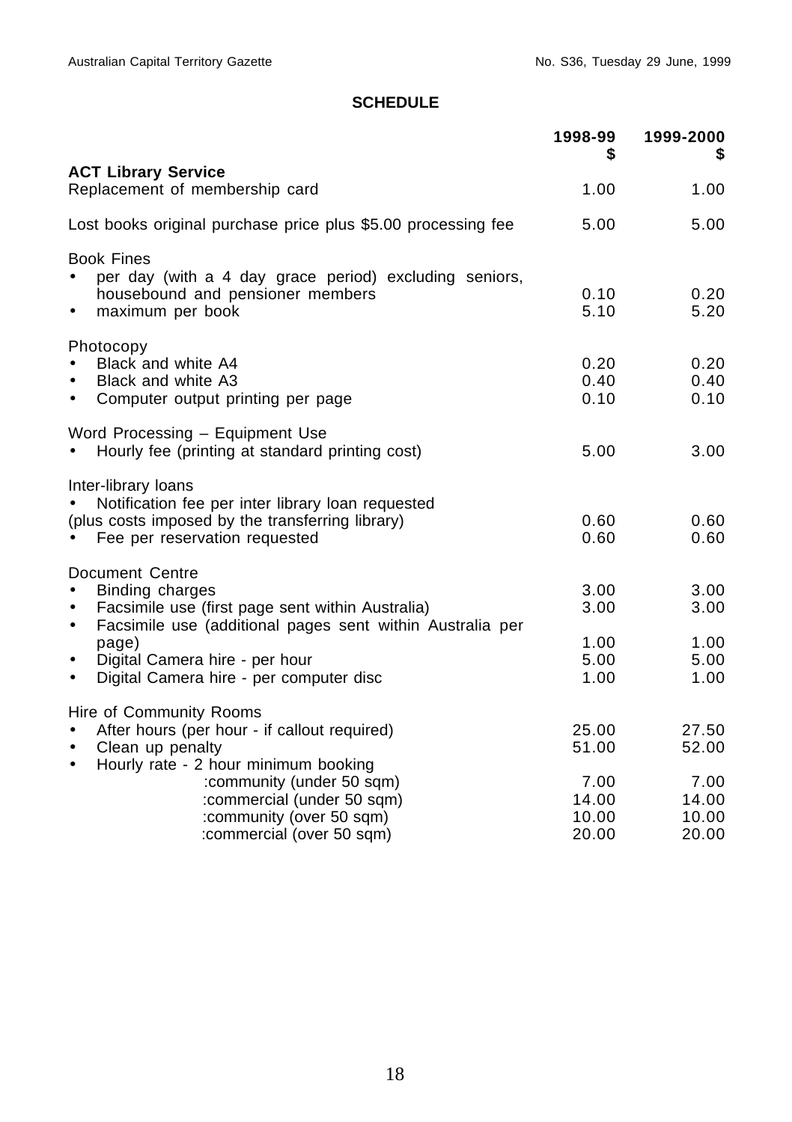|                                                                                                                                                                                                                                       | 1998-99<br>S                         | 1999-2000                            |
|---------------------------------------------------------------------------------------------------------------------------------------------------------------------------------------------------------------------------------------|--------------------------------------|--------------------------------------|
| <b>ACT Library Service</b><br>Replacement of membership card                                                                                                                                                                          | 1.00                                 | 1.00                                 |
| Lost books original purchase price plus \$5.00 processing fee                                                                                                                                                                         | 5.00                                 | 5.00                                 |
| <b>Book Fines</b><br>per day (with a 4 day grace period) excluding seniors,<br>housebound and pensioner members<br>maximum per book<br>$\bullet$                                                                                      | 0.10<br>5.10                         | 0.20<br>5.20                         |
| Photocopy<br>Black and white A4<br>Black and white A3<br>$\bullet$<br>Computer output printing per page<br>$\bullet$                                                                                                                  | 0.20<br>0.40<br>0.10                 | 0.20<br>0.40<br>0.10                 |
| Word Processing - Equipment Use<br>Hourly fee (printing at standard printing cost)                                                                                                                                                    | 5.00                                 | 3.00                                 |
| Inter-library loans<br>Notification fee per inter library loan requested<br>(plus costs imposed by the transferring library)<br>Fee per reservation requested                                                                         | 0.60<br>0.60                         | 0.60<br>0.60                         |
| Document Centre<br>Binding charges<br>Facsimile use (first page sent within Australia)<br>$\bullet$<br>Facsimile use (additional pages sent within Australia per<br>$\bullet$<br>page)<br>Digital Camera hire - per hour<br>$\bullet$ | 3.00<br>3.00<br>1.00<br>5.00<br>1.00 | 3.00<br>3.00<br>1.00<br>5.00<br>1.00 |
| Digital Camera hire - per computer disc<br>$\bullet$<br>Hire of Community Rooms<br>After hours (per hour - if callout required)<br>Clean up penalty<br>$\bullet$<br>Hourly rate - 2 hour minimum booking<br>$\bullet$                 | 25.00<br>51.00                       | 27.50<br>52.00                       |
| :community (under 50 sqm)<br>:commercial (under 50 sqm)<br>:community (over 50 sqm)<br>:commercial (over 50 sqm)                                                                                                                      | 7.00<br>14.00<br>10.00<br>20.00      | 7.00<br>14.00<br>10.00<br>20.00      |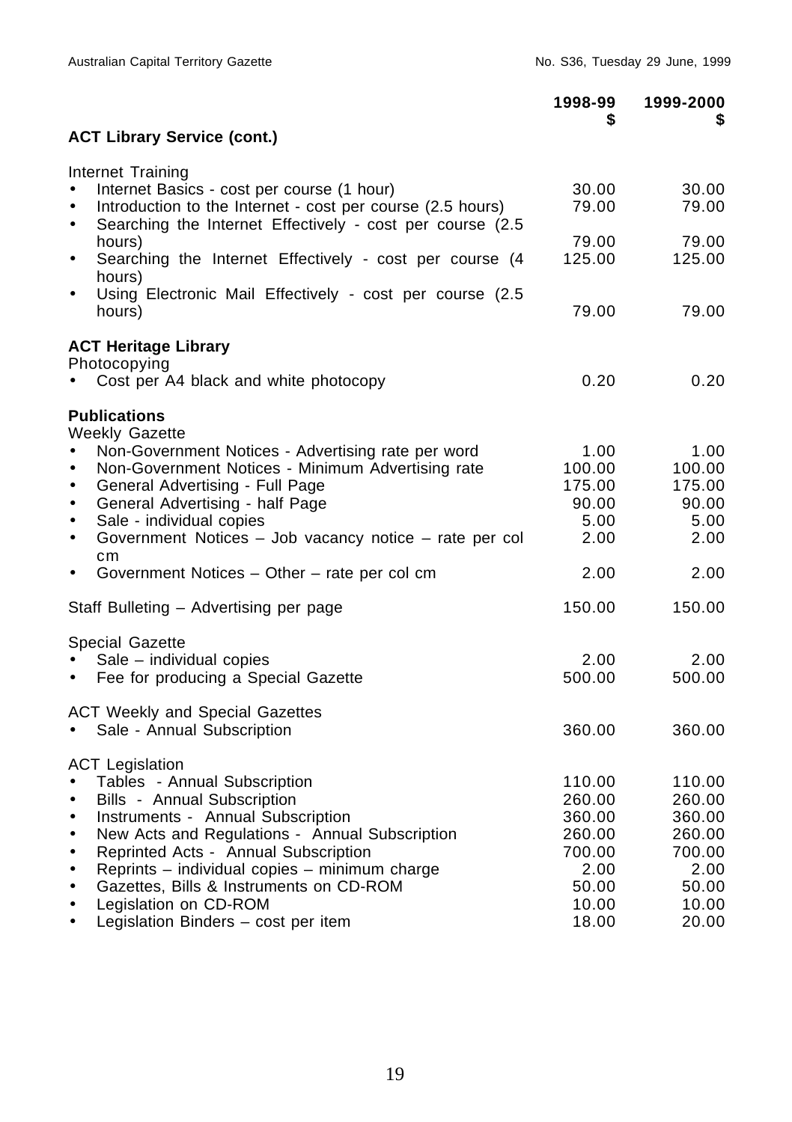|                                                                                                                                                                                                                                   | 1998-99                           | 1999-2000<br>S.                   |
|-----------------------------------------------------------------------------------------------------------------------------------------------------------------------------------------------------------------------------------|-----------------------------------|-----------------------------------|
| <b>ACT Library Service (cont.)</b>                                                                                                                                                                                                |                                   |                                   |
| Internet Training<br>Internet Basics - cost per course (1 hour)<br>Introduction to the Internet - cost per course (2.5 hours)                                                                                                     | 30.00<br>79.00                    | 30.00<br>79.00                    |
| Searching the Internet Effectively - cost per course (2.5)<br>$\bullet$<br>hours)<br>Searching the Internet Effectively - cost per course (4<br>٠<br>hours)                                                                       | 79.00<br>125.00                   | 79.00<br>125.00                   |
| Using Electronic Mail Effectively - cost per course (2.5<br>$\bullet$<br>hours)                                                                                                                                                   | 79.00                             | 79.00                             |
| <b>ACT Heritage Library</b><br>Photocopying                                                                                                                                                                                       |                                   |                                   |
| Cost per A4 black and white photocopy                                                                                                                                                                                             | 0.20                              | 0.20                              |
| <b>Publications</b><br><b>Weekly Gazette</b>                                                                                                                                                                                      |                                   |                                   |
| Non-Government Notices - Advertising rate per word<br>$\bullet$<br>Non-Government Notices - Minimum Advertising rate<br>$\bullet$<br>General Advertising - Full Page<br>$\bullet$<br>General Advertising - half Page<br>$\bullet$ | 1.00<br>100.00<br>175.00<br>90.00 | 1.00<br>100.00<br>175.00<br>90.00 |
| Sale - individual copies<br>Government Notices - Job vacancy notice - rate per col<br>٠<br>cm                                                                                                                                     | 5.00<br>2.00                      | 5.00<br>2.00                      |
| Government Notices - Other - rate per col cm<br>$\bullet$                                                                                                                                                                         | 2.00                              | 2.00                              |
| Staff Bulleting - Advertising per page                                                                                                                                                                                            | 150.00                            | 150.00                            |
| Special Gazette                                                                                                                                                                                                                   |                                   |                                   |
| Sale - individual copies<br>Fee for producing a Special Gazette<br>$\bullet$                                                                                                                                                      | 2.00<br>500.00                    | 2.00<br>500.00                    |
| <b>ACT Weekly and Special Gazettes</b><br>Sale - Annual Subscription                                                                                                                                                              | 360.00                            | 360.00                            |
| <b>ACT Legislation</b><br>Tables - Annual Subscription<br>• Bills - Annual Subscription<br>Instruments - Annual Subscription                                                                                                      | 110.00<br>260.00<br>360.00        | 110.00<br>260.00<br>360.00        |
| New Acts and Regulations - Annual Subscription                                                                                                                                                                                    | 260.00                            | 260.00                            |
| Reprinted Acts - Annual Subscription<br>٠                                                                                                                                                                                         | 700.00                            | 700.00                            |
| Reprints - individual copies - minimum charge<br>٠<br>Gazettes, Bills & Instruments on CD-ROM<br>٠                                                                                                                                | 2.00<br>50.00                     | 2.00<br>50.00                     |
| Legislation on CD-ROM<br>٠                                                                                                                                                                                                        | 10.00                             | 10.00                             |
| Legislation Binders - cost per item<br>٠                                                                                                                                                                                          | 18.00                             | 20.00                             |